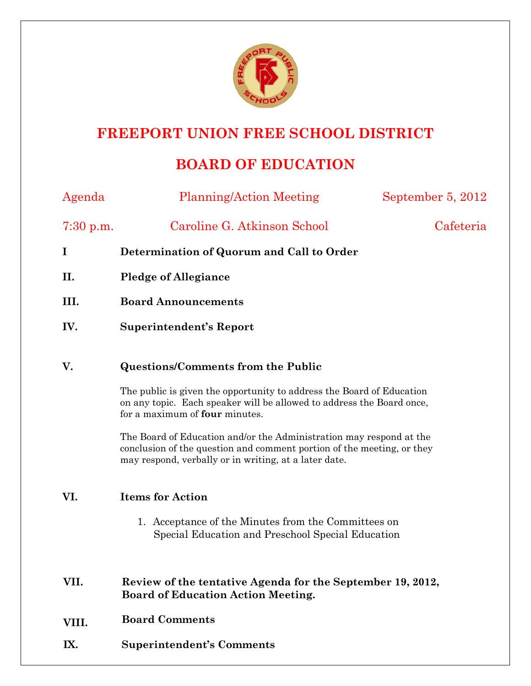

# **FREEPORT UNION FREE SCHOOL DISTRICT**

## **BOARD OF EDUCATION**

| Agenda      | <b>Planning/Action Meeting</b>                                                                                                                                                                         | September 5, 2012 |
|-------------|--------------------------------------------------------------------------------------------------------------------------------------------------------------------------------------------------------|-------------------|
| $7:30$ p.m. | Caroline G. Atkinson School                                                                                                                                                                            | Cafeteria         |
| I           | Determination of Quorum and Call to Order                                                                                                                                                              |                   |
| II.         | <b>Pledge of Allegiance</b>                                                                                                                                                                            |                   |
| III.        | <b>Board Announcements</b>                                                                                                                                                                             |                   |
| IV.         | <b>Superintendent's Report</b>                                                                                                                                                                         |                   |
| V.          | <b>Questions/Comments from the Public</b>                                                                                                                                                              |                   |
|             | The public is given the opportunity to address the Board of Education<br>on any topic. Each speaker will be allowed to address the Board once,<br>for a maximum of <b>four</b> minutes.                |                   |
|             | The Board of Education and/or the Administration may respond at the<br>conclusion of the question and comment portion of the meeting, or they<br>may respond, verbally or in writing, at a later date. |                   |
| VI.         | <b>Items for Action</b>                                                                                                                                                                                |                   |
|             | 1. Acceptance of the Minutes from the Committees on<br>Special Education and Preschool Special Education                                                                                               |                   |
| VII.        | Review of the tentative Agenda for the September 19, 2012,<br><b>Board of Education Action Meeting.</b>                                                                                                |                   |
| VIII.       | <b>Board Comments</b>                                                                                                                                                                                  |                   |
| IX.         | <b>Superintendent's Comments</b>                                                                                                                                                                       |                   |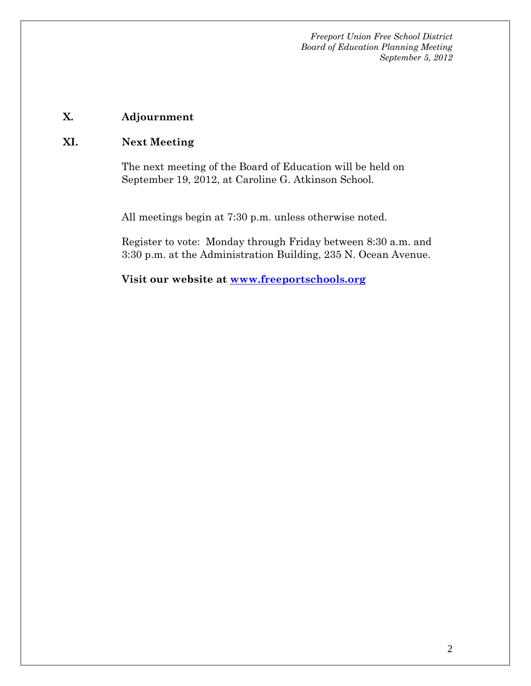*Freeport Union Free School District Board of Education Planning Meeting September 5, 2012* 

## **X. Adjournment**

### **XI. Next Meeting**

The next meeting of the Board of Education will be held on September 19, 2012, at Caroline G. Atkinson School.

All meetings begin at 7:30 p.m. unless otherwise noted.

Register to vote: Monday through Friday between 8:30 a.m. and 3:30 p.m. at the Administration Building, 235 N. Ocean Avenue.

**Visit our website at www.freeportschools.org**